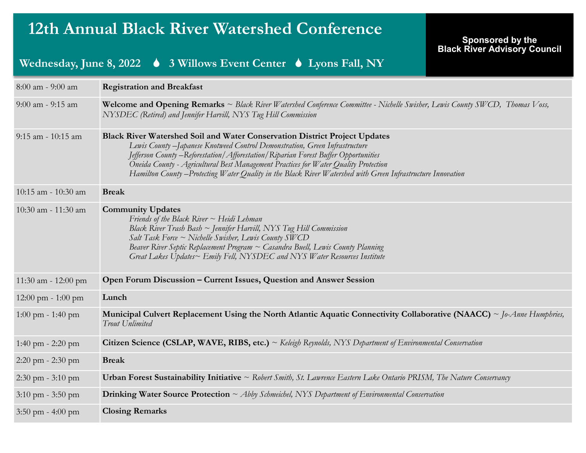# **12th Annual Black River Watershed Conference**

#### **Sponsored by the Black River Advisory Council**

### **Wednesday, June 8, 2022 3 Willows Event Center Lyons Fall, NY**

| 8:00 am - 9:00 am                    | <b>Registration and Breakfast</b>                                                                                                                                                                                                                                                                                                                                                                                                                           |  |  |  |
|--------------------------------------|-------------------------------------------------------------------------------------------------------------------------------------------------------------------------------------------------------------------------------------------------------------------------------------------------------------------------------------------------------------------------------------------------------------------------------------------------------------|--|--|--|
| 9:00 am - 9:15 am                    | Welcome and Opening Remarks ~ Black River Watershed Conference Committee - Nichelle Swisher, Lewis County SWCD, Thomas Voss,<br>NYSDEC (Retired) and Jennifer Harvill, NYS Tug Hill Commission                                                                                                                                                                                                                                                              |  |  |  |
| 9:15 am - 10:15 am                   | Black River Watershed Soil and Water Conservation District Project Updates<br>Lewis County -Japanese Knotweed Control Demonstration, Green Infrastructure<br>Jefferson County - Reforestation / Afforestation / Riparian Forest Buffer Opportunities<br>Oneida County - Agricultural Best Management Practices for Water Quality Protection<br>Hamilton County – Protecting Water Quality in the Black River Watershed with Green Infrastructure Innovation |  |  |  |
| 10:15 am - 10:30 am                  | <b>Break</b>                                                                                                                                                                                                                                                                                                                                                                                                                                                |  |  |  |
| 10:30 am - 11:30 am                  | <b>Community Updates</b><br>Friends of the Black River $\sim$ Heidi Lehman<br>Black River Trash Bash ~ Jennifer Harvill, NYS Tug Hill Commission<br>Salt Task Force $\sim$ Nichelle Swisher, Lewis County SWCD<br>Beaver River Septic Replacement Program ~ Casandra Buell, Lewis County Planning<br>Great Lakes Updates~ Emily Fell, NYSDEC and NYS Water Resources Institute                                                                              |  |  |  |
| 11:30 am - 12:00 pm                  | Open Forum Discussion – Current Issues, Question and Answer Session                                                                                                                                                                                                                                                                                                                                                                                         |  |  |  |
| $12:00 \text{ pm} - 1:00 \text{ pm}$ | Lunch                                                                                                                                                                                                                                                                                                                                                                                                                                                       |  |  |  |
| $1:00 \text{ pm} - 1:40 \text{ pm}$  | Municipal Culvert Replacement Using the North Atlantic Aquatic Connectivity Collaborative (NAACC) ~ $\delta$ -Anne Humphries,<br>Trout Unlimited                                                                                                                                                                                                                                                                                                            |  |  |  |
| 1:40 pm $- 2:20$ pm                  | Citizen Science (CSLAP, WAVE, RIBS, etc.) $\sim$ Keleigh Reynolds, NYS Department of Environmental Conservation                                                                                                                                                                                                                                                                                                                                             |  |  |  |
| $2:20$ pm $-2:30$ pm                 | <b>Break</b>                                                                                                                                                                                                                                                                                                                                                                                                                                                |  |  |  |
| $2:30 \text{ pm} - 3:10 \text{ pm}$  | <b>Urban Forest Sustainability Initiative</b> $\sim$ Robert Smith, St. Lawrence Eastern Lake Ontario PRISM, The Nature Conservancy                                                                                                                                                                                                                                                                                                                          |  |  |  |
| $3:10 \text{ pm} - 3:50 \text{ pm}$  | <b>Drinking Water Source Protection</b> $\sim$ Abby Schmeichel, NYS Department of Environmental Conservation                                                                                                                                                                                                                                                                                                                                                |  |  |  |
| $3:50$ pm - 4:00 pm                  | <b>Closing Remarks</b>                                                                                                                                                                                                                                                                                                                                                                                                                                      |  |  |  |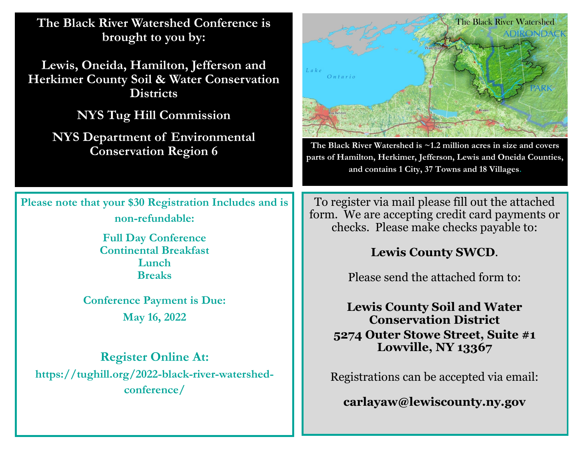**The Black River Watershed Conference is brought to you by:**

**Lewis, Oneida, Hamilton, Jefferson and Herkimer County Soil & Water Conservation Districts**

**NYS Tug Hill Commission** 

**NYS Department of Environmental Conservation Region 6**

**Please note that your \$30 Registration Includes and is non-refundable:**

> **Full Day Conference Continental Breakfast Lunch Breaks**

**Conference Payment is Due: May 16, 2022**

#### **Register Online At:**

**https://tughill.org/2022-black-river-watershedconference/**



**The Black River Watershed is ~1.2 million acres in size and covers parts of Hamilton, Herkimer, Jefferson, Lewis and Oneida Counties, and contains 1 City, 37 Towns and 18 Villages.**

To register via mail please fill out the attached form. We are accepting credit card payments or checks. Please make checks payable to:

### **Lewis County SWCD**.

Please send the attached form to:

**Lewis County Soil and Water Conservation District 5274 Outer Stowe Street, Suite #1 Lowville, NY 13367**

Registrations can be accepted via email:

**carlayaw@lewiscounty.ny.gov**